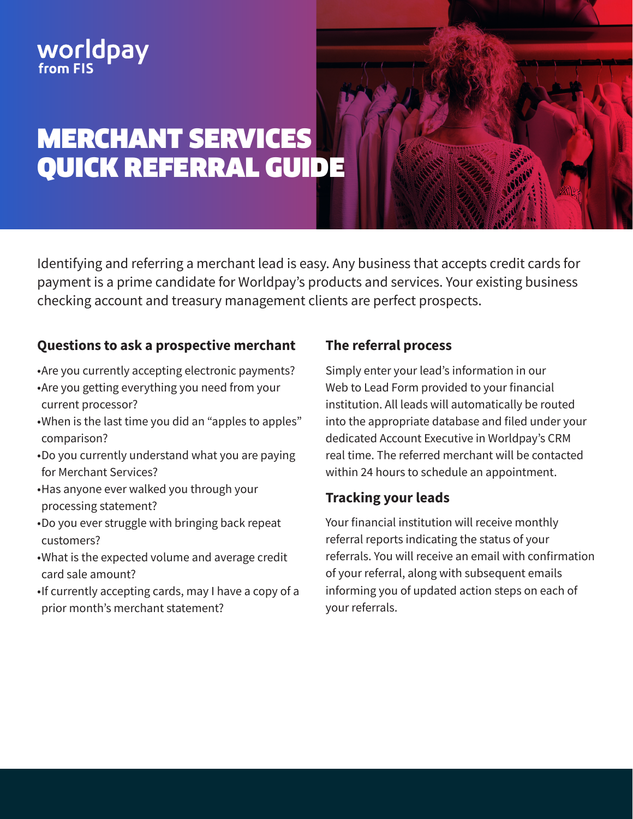# **WOrldpay**

## MERCHANT SERVICES QUICK REFERRAL GUIDE

Identifying and referring a merchant lead is easy. Any business that accepts credit cards for payment is a prime candidate for Worldpay's products and services. Your existing business checking account and treasury management clients are perfect prospects.

#### **Questions to ask a prospective merchant**

- •Are you currently accepting electronic payments? •Are you getting everything you need from your
- current processor? •When is the last time you did an "apples to apples" comparison?
- •Do you currently understand what you are paying for Merchant Services?
- •Has anyone ever walked you through your processing statement?
- •Do you ever struggle with bringing back repeat customers?
- •What is the expected volume and average credit card sale amount?
- •If currently accepting cards, may I have a copy of a prior month's merchant statement?

### **The referral process**

Simply enter your lead's information in our Web to Lead Form provided to your financial institution. All leads will automatically be routed into the appropriate database and filed under your dedicated Account Executive in Worldpay's CRM real time. The referred merchant will be contacted within 24 hours to schedule an appointment.

#### **Tracking your leads**

Your financial institution will receive monthly referral reports indicating the status of your referrals. You will receive an email with confirmation of your referral, along with subsequent emails informing you of updated action steps on each of your referrals.